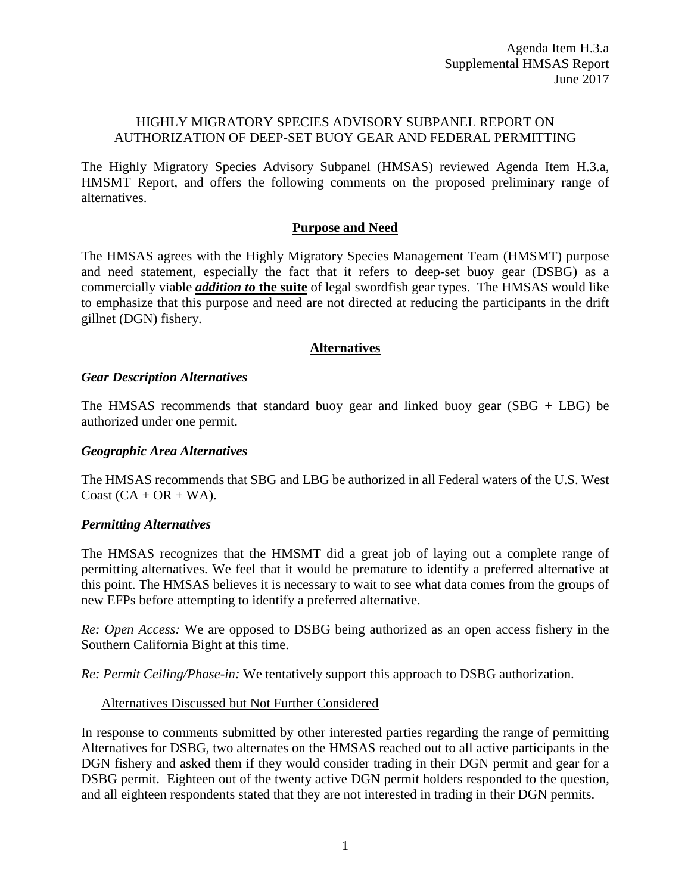### HIGHLY MIGRATORY SPECIES ADVISORY SUBPANEL REPORT ON AUTHORIZATION OF DEEP-SET BUOY GEAR AND FEDERAL PERMITTING

The Highly Migratory Species Advisory Subpanel (HMSAS) reviewed Agenda Item H.3.a, HMSMT Report, and offers the following comments on the proposed preliminary range of alternatives.

### **Purpose and Need**

The HMSAS agrees with the Highly Migratory Species Management Team (HMSMT) purpose and need statement, especially the fact that it refers to deep-set buoy gear (DSBG) as a commercially viable *addition to* **the suite** of legal swordfish gear types. The HMSAS would like to emphasize that this purpose and need are not directed at reducing the participants in the drift gillnet (DGN) fishery.

# **Alternatives**

#### *Gear Description Alternatives*

The HMSAS recommends that standard buoy gear and linked buoy gear (SBG + LBG) be authorized under one permit.

#### *Geographic Area Alternatives*

The HMSAS recommends that SBG and LBG be authorized in all Federal waters of the U.S. West Coast  $(CA + OR + WA)$ .

### *Permitting Alternatives*

The HMSAS recognizes that the HMSMT did a great job of laying out a complete range of permitting alternatives. We feel that it would be premature to identify a preferred alternative at this point. The HMSAS believes it is necessary to wait to see what data comes from the groups of new EFPs before attempting to identify a preferred alternative.

*Re: Open Access:* We are opposed to DSBG being authorized as an open access fishery in the Southern California Bight at this time.

*Re: Permit Ceiling/Phase-in:* We tentatively support this approach to DSBG authorization.

### Alternatives Discussed but Not Further Considered

In response to comments submitted by other interested parties regarding the range of permitting Alternatives for DSBG, two alternates on the HMSAS reached out to all active participants in the DGN fishery and asked them if they would consider trading in their DGN permit and gear for a DSBG permit. Eighteen out of the twenty active DGN permit holders responded to the question, and all eighteen respondents stated that they are not interested in trading in their DGN permits.